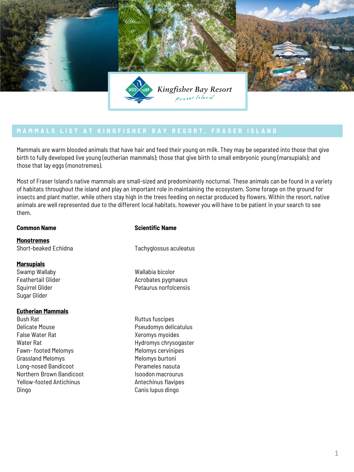

Mammals are warm blooded animals that have hair and feed their young on milk. They may be separated into those that give birth to fully developed live young (eutherian mammals); those that give birth to small embryonic young (marsupials); and those that lay eggs (monotremes).

Most of Fraser Island's native mammals are small-sized and predominantly nocturnal. These animals can be found in a variety of habitats throughout the island and play an important role in maintaining the ecosystem. Some forage on the ground for insects and plant matter, while others stay high in the trees feeding on nectar produced by flowers. Within the resort, native animals are well represented due to the different local habitats, however you will have to be patient in your search to see them.

**Monotremes** Short-beaked Echidna

### **Marsupials**

Swamp Wallaby Feathertail Glider Squirrel Glider Sugar Glider

### **Eutherian Mammals**

Bush Rat Delicate Mouse False Water Rat Water Rat Fawn- footed Melomys Grassland Melomys Long-nosed Bandicoot Northern Brown Bandicoot Yellow-footed Antichinus Dingo

# **Common Name** Scientific Name

Tachyglossus aculeatus

- Wallabia bicolor Acrobates pygmaeus Petaurus norfolcensis
- Ruttus fuscipes Pseudomys delicatulus Xeromys myoides Hydromys chrysogaster Melomys cervinipes Melomys burtoni Perameles nasuta Isoodon macrourus Antechinus flavipes Canis lupus dingo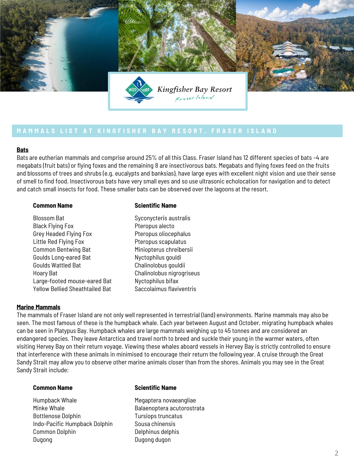

### **Bats**

Bats are eutherian mammals and comprise around 25% of all this Class. Fraser Island has 12 different species of bats –4 are megabats (fruit bats) or flying foxes and the remaining 8 are insectivorous bats. Megabats and flying foxes feed on the fruits and blossoms of trees and shrubs (e.g. eucalypts and banksias), have large eyes with excellent night vision and use their sense of smell to find food. Insectivorous bats have very small eyes and so use ultrasonic echolocation for navigation and to detect and catch small insects for food. These smaller bats can be observed over the lagoons at the resort.

### **Common Name** Scientific Name

Blossom Bat Black Flying Fox Grey Headed Flying Fox Little Red Flying Fox Common Bentwing Bat Goulds Long-eared Bat Goulds Wattled Bat Hoary Bat Large-footed mouse-eared Bat Yellow Bellied Sheathtailed Bat Syconycteris australis Pteropus alecto Pteropus oliocephalus Pteropus scapulatus Miniopterus chreibersii Nyctophilus gouldi Chalinolobus gouldii Chalinolobus nigrogriseus Nyctophilus bifax Saccolaimus flaviventris

# **Marine Mammals**

The mammals of Fraser Island are not only well represented in terrestrial (land) environments. Marine mammals may also be seen. The most famous of these is the humpback whale. Each year between August and October, migrating humpback whales can be seen in Platypus Bay. Humpback whales are large mammals weighing up to 45 tonnes and are considered an endangered species. They leave Antarctica and travel north to breed and suckle their young in the warmer waters, often visiting Hervey Bay on their return voyage. Viewing these whales aboard vessels in Hervey Bay is strictly controlled to ensure that interference with these animals in minimised to encourage their return the following year. A cruise through the Great Sandy Strait may allow you to observe other marine animals closer than from the shores. Animals you may see in the Great Sandy Strait include:

Humpback Whale Minke Whale Bottlenose Dolphin Indo-Pacific Humpback Dolphin Common Dolphin Dugong

### **Common Name** Scientific Name

Megaptera novaeangliae Balaenoptera acutorostrata Tursiops truncatus Sousa chinensis Delphinus delphis Dugong dugon